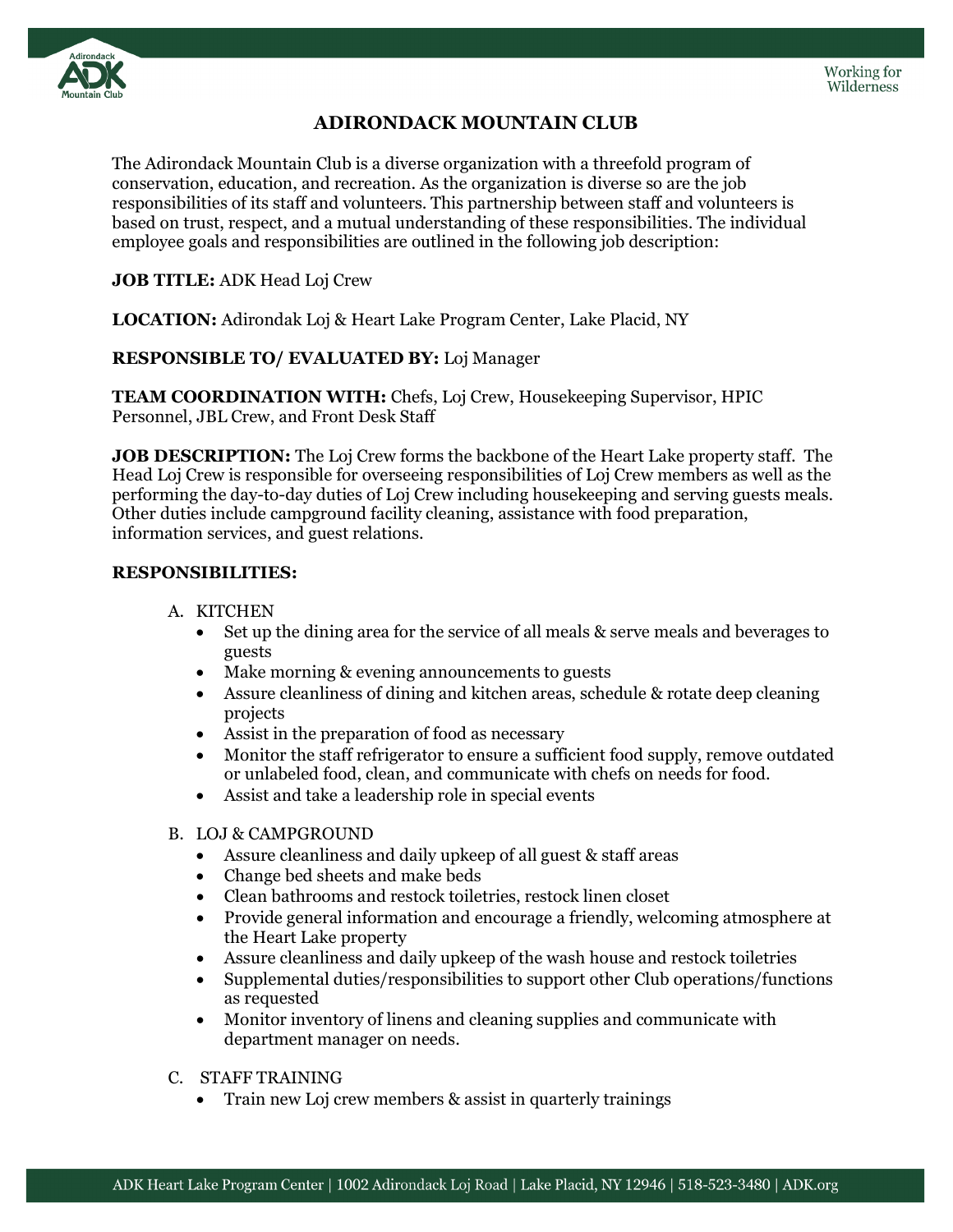

# **ADIRONDACK MOUNTAIN CLUB**

The Adirondack Mountain Club is a diverse organization with a threefold program of conservation, education, and recreation. As the organization is diverse so are the job responsibilities of its staff and volunteers. This partnership between staff and volunteers is based on trust, respect, and a mutual understanding of these responsibilities. The individual employee goals and responsibilities are outlined in the following job description:

### **JOB TITLE:** ADK Head Loj Crew

**LOCATION:** Adirondak Loj & Heart Lake Program Center, Lake Placid, NY

## **RESPONSIBLE TO/ EVALUATED BY:** Loj Manager

**TEAM COORDINATION WITH:** Chefs, Loj Crew, Housekeeping Supervisor, HPIC Personnel, JBL Crew, and Front Desk Staff

**JOB DESCRIPTION:** The Loj Crew forms the backbone of the Heart Lake property staff. The Head Loj Crew is responsible for overseeing responsibilities of Loj Crew members as well as the performing the day-to-day duties of Loj Crew including housekeeping and serving guests meals. Other duties include campground facility cleaning, assistance with food preparation, information services, and guest relations.

### **RESPONSIBILITIES:**

### A. KITCHEN

- Set up the dining area for the service of all meals & serve meals and beverages to guests
- Make morning & evening announcements to guests
- Assure cleanliness of dining and kitchen areas, schedule & rotate deep cleaning projects
- Assist in the preparation of food as necessary
- Monitor the staff refrigerator to ensure a sufficient food supply, remove outdated or unlabeled food, clean, and communicate with chefs on needs for food.
- Assist and take a leadership role in special events

### B. LOJ & CAMPGROUND

- Assure cleanliness and daily upkeep of all guest & staff areas
- Change bed sheets and make beds
- Clean bathrooms and restock toiletries, restock linen closet
- Provide general information and encourage a friendly, welcoming atmosphere at the Heart Lake property
- Assure cleanliness and daily upkeep of the wash house and restock toiletries
- Supplemental duties/responsibilities to support other Club operations/functions as requested
- Monitor inventory of linens and cleaning supplies and communicate with department manager on needs.
- C. STAFF TRAINING
	- Train new Loj crew members & assist in quarterly trainings